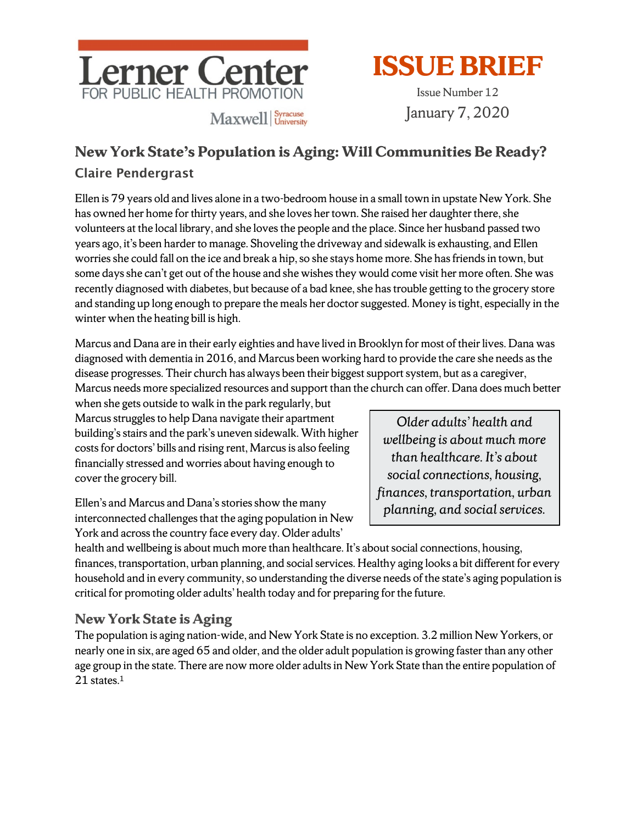

# **ISSUEBRIEF**

Issue Number 12 January 7, 2020

# **New York State's Population is Aging: Will Communities Be Ready?** Claire Pendergrast

Ellen is 79 years old and lives alone in a two-bedroom house in a small town in upstate New York. She has owned her home for thirty years, and she loves her town. She raised her daughter there, she volunteers at the local library, and she loves the people and the place. Since her husband passed two years ago, it's been harder to manage. Shoveling the driveway and sidewalk is exhausting, and Ellen worries she could fall on the ice and break a hip, so she stays home more. She has friends in town, but some days she can't get out of the house and she wishes they would come visit her more often. She was recently diagnosed with diabetes, but because of a bad knee, she has trouble getting to the grocery store and standing up long enough to prepare the meals her doctor suggested. Money is tight, especially in the winter when the heating bill is high.

Marcus and Dana are in their early eighties and have lived in Brooklyn for most of their lives. Dana was diagnosed with dementia in 2016, and Marcus been working hard to provide the care she needs as the disease progresses. Their church has always been their biggest support system, but as a caregiver,

Marcus needs more specialized resources and support than the church can offer. Dana does much better when she gets outside to walk in the park regularly, but

Marcus struggles to help Dana navigate their apartment building's stairs and the park's uneven sidewalk. With higher costs for doctors' bills and rising rent, Marcus is also feeling financially stressed and worries about having enough to cover the grocery bill.

Ellen's and Marcus and Dana's stories show the many interconnected challenges that the aging population in New York and across the country face every day. Older adults'

*Older adults' health and wellbeing is about much more than healthcare. It's about social connections, housing, finances, transportation, urban planning, and social services.*

health and wellbeing is about much more than healthcare. It's about social connections, housing, finances, transportation, urban planning, and social services. Healthy aging looks a bit different for every household and in every community, so understanding the diverse needs of the state's aging population is critical for promoting older adults' health today and for preparing for the future.

#### **New York State is Aging**

The population is aging nation-wide, and New York State is no exception. 3.2 million New Yorkers, or nearly one in six, are aged 65 and older, and the older adult population is growing faster than any other age group in the state. There are now more older adults in New York State than the entire population of 21 states.<sup>1</sup>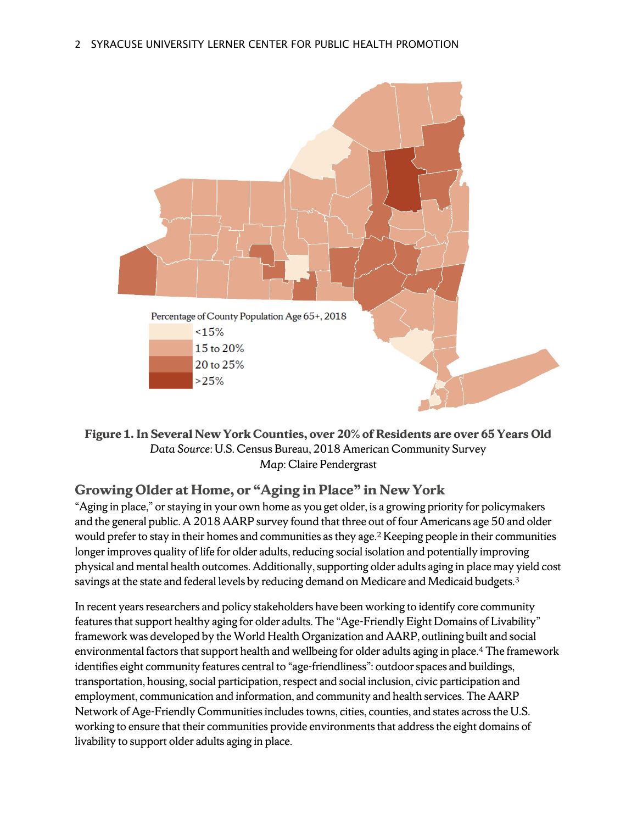

**Figure 1. In Several New York Counties, over 20% of Residents are over 65 Years Old** *Data Source*: U.S. Census Bureau, 2018 American Community Survey *Map*: Claire Pendergrast

# **Growing Older at Home, or "Aging in Place" in New York**

"Aging in place," or staying in your own home as you get older, is a growing priority for policymakers and the general public. A 2018 AARP survey found that three out of four Americans age 50 and older would prefer to stay in their homes and communities as they age.<sup>2</sup> Keeping people in their communities longer improves quality of life for older adults, reducing social isolation and potentially improving physical and mental health outcomes. Additionally, supporting older adults aging in place may yield cost savings at the state and federal levels by reducing demand on Medicare and Medicaid budgets.<sup>3</sup>

In recent years researchers and policy stakeholders have been working to identify core community features that support healthy aging for older adults. The "Age-Friendly Eight Domains of Livability" framework was developed by the World Health Organization and AARP, outlining built and social environmental factors that support health and wellbeing for older adults aging in place.4 The framework identifies eight community features central to "age-friendliness": outdoor spaces and buildings, transportation, housing, social participation, respect and social inclusion, civic participation and employment, communication and information, and community and health services. The AARP Network of Age-Friendly Communities includes towns, cities, counties, and states across the U.S. working to ensure that their communities provide environments that address the eight domains of livability to support older adults aging in place.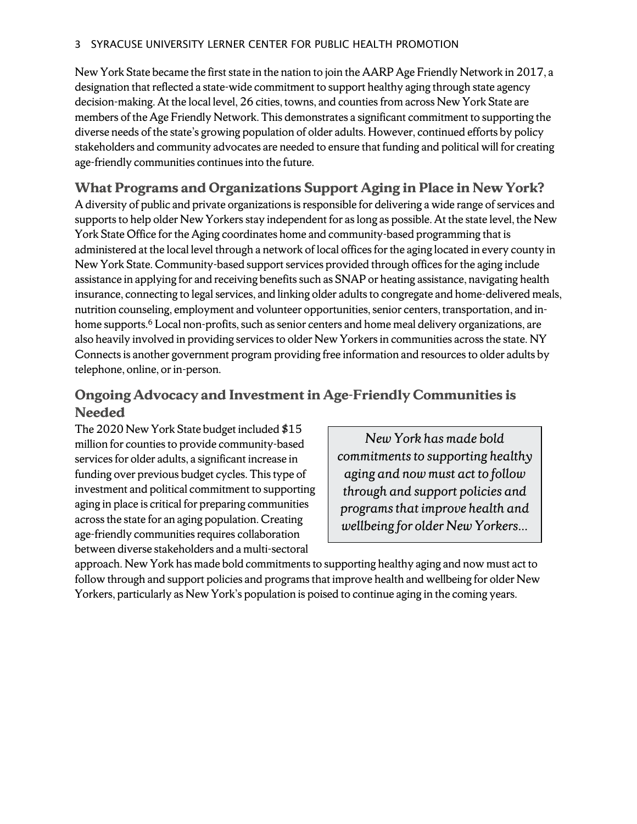New York State became the first state in the nation to join theAARP Age Friendly Network in 2017, a designation that reflected a state-wide commitment to support healthy aging through state agency decision-making. At the local level, 26 cities, towns, and counties from across New York State are members of the Age Friendly Network. This demonstrates a significant commitment to supporting the diverse needs of the state's growing population of older adults. However, continued efforts by policy stakeholders and community advocates are needed to ensure that funding and political will for creating age-friendly communities continues into the future.

#### **What Programs and Organizations Support Aging in Place in New York?**

A diversity of public and private organizations is responsible for delivering a wide range of services and supports to help older New Yorkers stay independent for as long as possible. At the state level, the New York State Office for the Aging coordinates home and community-based programming that is administered at the local level through a network of local offices for the aging located in every county in New York State. Community-based support services provided through offices for the aging include assistance in applying for and receiving benefits such as SNAP or heating assistance, navigating health insurance, connecting to legal services, and linking older adults to congregate and home-delivered meals, nutrition counseling, employment and volunteer opportunities, senior centers, transportation, and inhome supports.<sup>6</sup> Local non-profits, such as senior centers and home meal delivery organizations, are also heavily involved in providing services to older New Yorkers in communities across the state. NY Connects is another government program providing free information and resources to older adults by telephone, online, or in-person.

## **Ongoing Advocacy and Investment in Age-Friendly Communities is Needed**

The 2020 New York State budget included \$15 million for counties to provide community-based services for older adults, a significant increase in funding over previous budget cycles. This type of investment and political commitment to supporting aging in place is critical for preparing communities across the state for an aging population. Creating age-friendly communities requires collaboration between diverse stakeholders and a multi-sectoral

*New York has made bold commitments to supporting healthy aging and now must act to follow through and support policies and programs that improve health and wellbeing for older New Yorkers…*

approach. New York has made bold commitments to supporting healthy aging and now must act to follow through and support policies and programs that improve health and wellbeing for older New Yorkers, particularly as New York's population is poised to continue aging in the coming years.